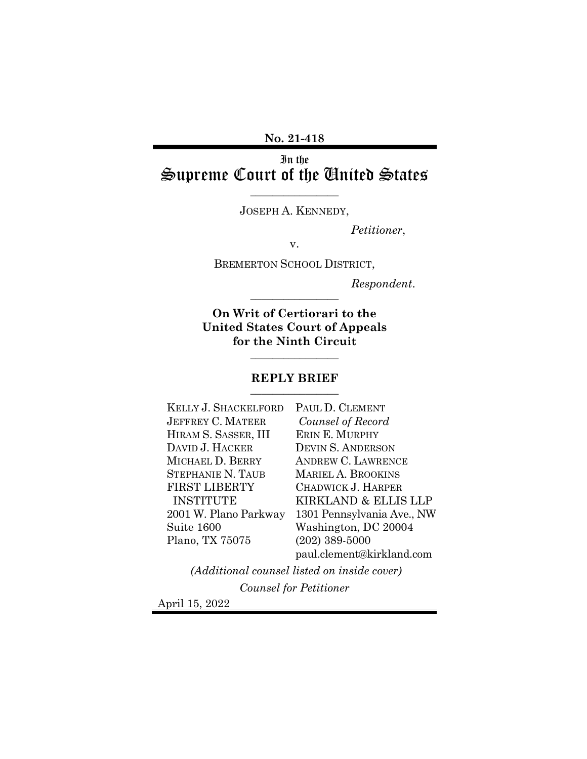**No. 21-418**

In the Supreme Court of the United States

JOSEPH A. KENNEDY,

\_\_\_\_\_\_\_\_\_\_\_\_\_\_\_\_

*Petitioner*,

v.

BREMERTON SCHOOL DISTRICT,

 $Respondent.$ 

**On Writ of Certiorari to the United States Court of Appeals for the Ninth Circuit**

## **REPLY BRIEF** \_\_\_\_\_\_\_\_\_\_\_\_\_\_\_\_

 $\overline{\phantom{a}}$  , where  $\overline{\phantom{a}}$ 

| KELLY J. SHACKELFORD  | PAUL D. CLEMENT            |
|-----------------------|----------------------------|
| JEFFREY C. MATEER     | Counsel of Record          |
| HIRAM S. SASSER, III  | ERIN E. MURPHY             |
| DAVID J. HACKER       | <b>DEVIN S. ANDERSON</b>   |
| MICHAEL D. BERRY      | <b>ANDREW C. LAWRENCE</b>  |
| STEPHANIE N. TAUB     | <b>MARIEL A. BROOKINS</b>  |
| <b>FIRST LIBERTY</b>  | CHADWICK J. HARPER         |
| INSTITUTE             | KIRKLAND & ELLIS LLP       |
| 2001 W. Plano Parkway | 1301 Pennsylvania Ave., NW |
| Suite 1600            | Washington, DC 20004       |
| Plano, TX 75075       | $(202)$ 389-5000           |
|                       | paul.clement@kirkland.com  |

*(Additional counsel listed on inside cover) Counsel for Petitioner*

April 15, 2022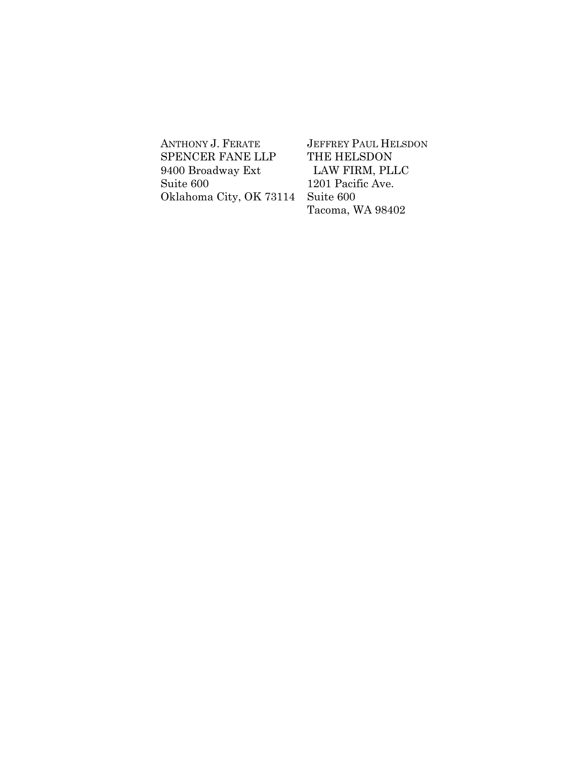ANTHONY J. FERATE SPENCER FANE LLP 9400 Broadway Ext Suite 600 Oklahoma City, OK 73114

JEFFREY PAUL HELSDON THE HELSDON LAW FIRM, PLLC 1201 Pacific Ave. Suite 600 Tacoma, WA 98402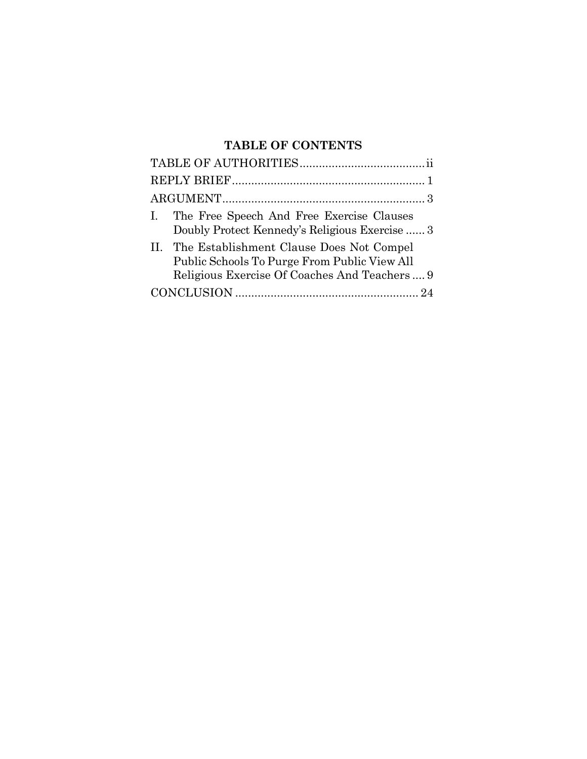# **TABLE OF CONTENTS**

| I. The Free Speech And Free Exercise Clauses<br>Doubly Protect Kennedy's Religious Exercise  3                                                |
|-----------------------------------------------------------------------------------------------------------------------------------------------|
| II. The Establishment Clause Does Not Compel<br>Public Schools To Purge From Public View All<br>Religious Exercise Of Coaches And Teachers  9 |
|                                                                                                                                               |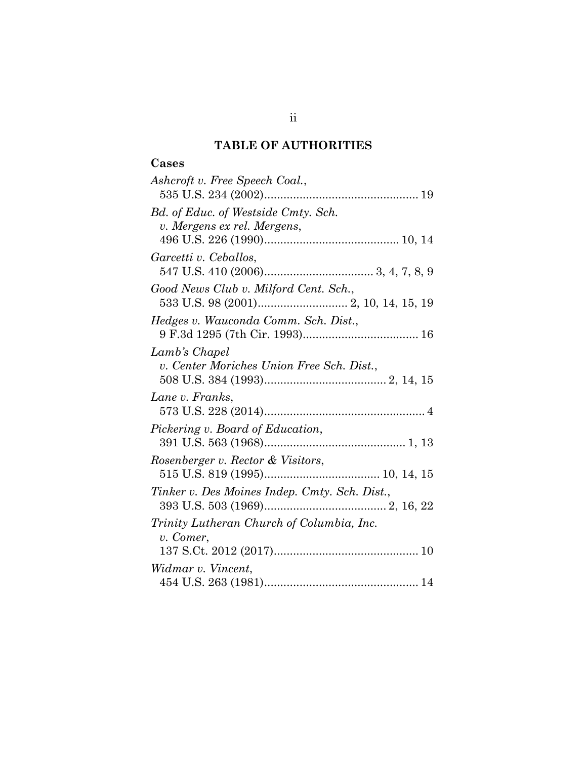# **TABLE OF AUTHORITIES**

# **Cases**

| Ashcroft v. Free Speech Coal.,                                     |
|--------------------------------------------------------------------|
| Bd. of Educ. of Westside Cmty. Sch.<br>v. Mergens ex rel. Mergens, |
| Garcetti v. Ceballos,                                              |
| Good News Club v. Milford Cent. Sch.,                              |
| Hedges v. Wauconda Comm. Sch. Dist.,                               |
| Lamb's Chapel<br>v. Center Moriches Union Free Sch. Dist.,         |
| Lane v. Franks,                                                    |
| Pickering v. Board of Education,                                   |
| Rosenberger v. Rector & Visitors,                                  |
| Tinker v. Des Moines Indep. Cmty. Sch. Dist.,                      |
| Trinity Lutheran Church of Columbia, Inc.<br>v. Comer,             |
|                                                                    |
| Widmar v. Vincent,                                                 |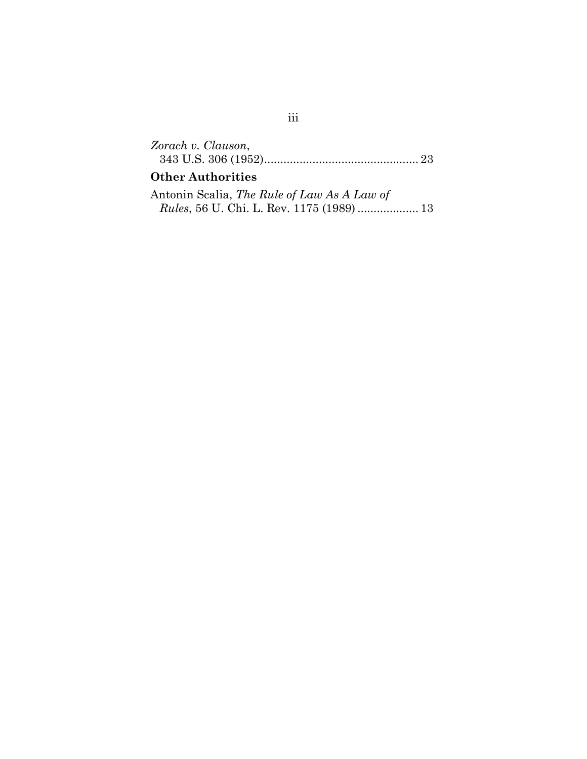| Zorach v. Clauson,       |  |
|--------------------------|--|
|                          |  |
| <b>Other Authorities</b> |  |

# Antonin Scalia, *The Rule of Law As A Law of*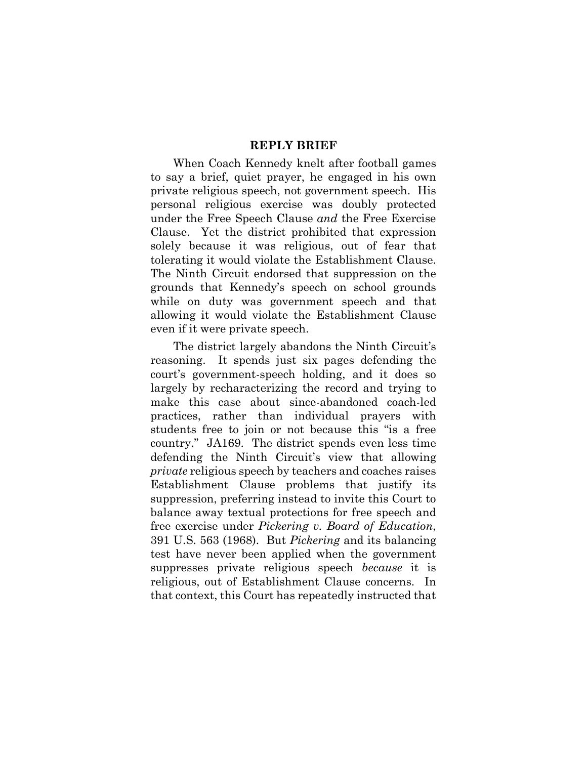### **REPLY BRIEF**

When Coach Kennedy knelt after football games to say a brief, quiet prayer, he engaged in his own private religious speech, not government speech. His personal religious exercise was doubly protected under the Free Speech Clause *and* the Free Exercise Clause. Yet the district prohibited that expression solely because it was religious, out of fear that tolerating it would violate the Establishment Clause. The Ninth Circuit endorsed that suppression on the grounds that Kennedy's speech on school grounds while on duty was government speech and that allowing it would violate the Establishment Clause even if it were private speech.

The district largely abandons the Ninth Circuit's reasoning. It spends just six pages defending the court's government-speech holding, and it does so largely by recharacterizing the record and trying to make this case about since-abandoned coach-led practices, rather than individual prayers with students free to join or not because this "is a free country." JA169. The district spends even less time defending the Ninth Circuit's view that allowing *private* religious speech by teachers and coaches raises Establishment Clause problems that justify its suppression, preferring instead to invite this Court to balance away textual protections for free speech and free exercise under *Pickering v. Board of Education*, 391 U.S. 563 (1968). But *Pickering* and its balancing test have never been applied when the government suppresses private religious speech *because* it is religious, out of Establishment Clause concerns. In that context, this Court has repeatedly instructed that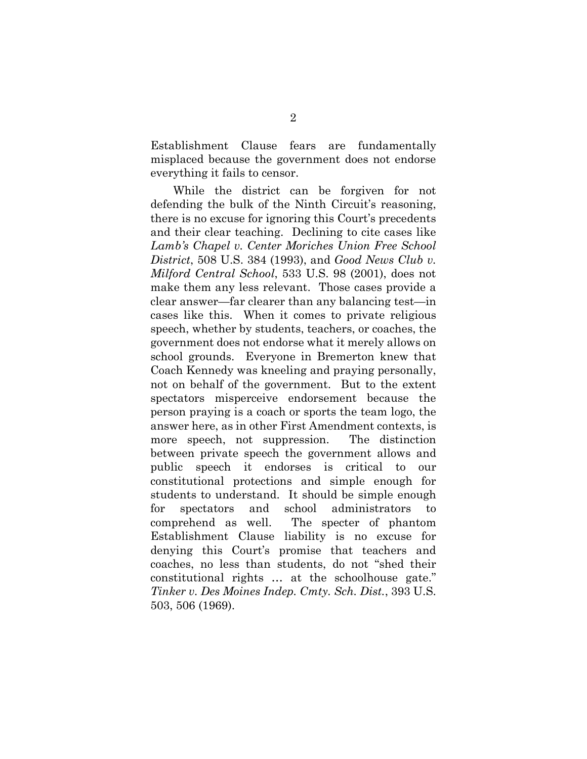Establishment Clause fears are fundamentally misplaced because the government does not endorse everything it fails to censor.

While the district can be forgiven for not defending the bulk of the Ninth Circuit's reasoning, there is no excuse for ignoring this Court's precedents and their clear teaching. Declining to cite cases like *Lamb's Chapel v. Center Moriches Union Free School District*, 508 U.S. 384 (1993), and *Good News Club v. Milford Central School*, 533 U.S. 98 (2001), does not make them any less relevant. Those cases provide a clear answer—far clearer than any balancing test—in cases like this. When it comes to private religious speech, whether by students, teachers, or coaches, the government does not endorse what it merely allows on school grounds. Everyone in Bremerton knew that Coach Kennedy was kneeling and praying personally, not on behalf of the government. But to the extent spectators misperceive endorsement because the person praying is a coach or sports the team logo, the answer here, as in other First Amendment contexts, is more speech, not suppression. The distinction between private speech the government allows and public speech it endorses is critical to our constitutional protections and simple enough for students to understand. It should be simple enough for spectators and school administrators to comprehend as well. The specter of phantom Establishment Clause liability is no excuse for denying this Court's promise that teachers and coaches, no less than students, do not "shed their constitutional rights … at the schoolhouse gate." *Tinker v. Des Moines Indep. Cmty. Sch. Dist.*, 393 U.S. 503, 506 (1969).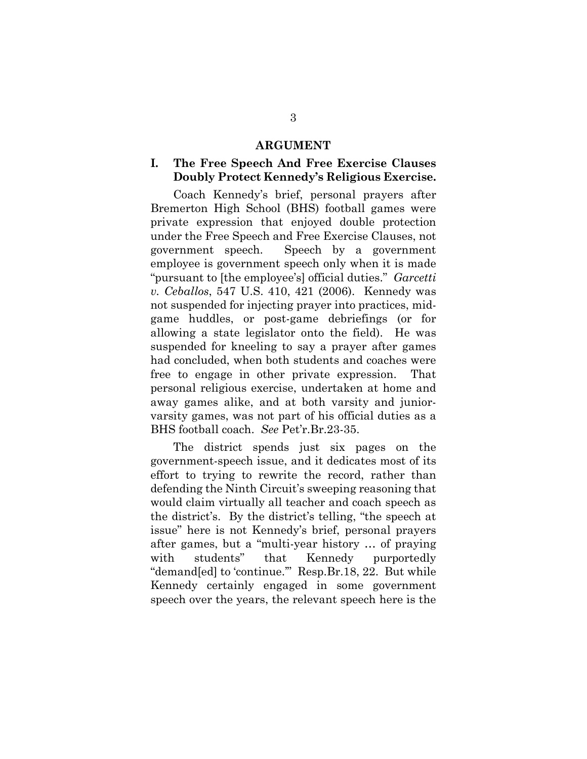#### **ARGUMENT**

## **I. The Free Speech And Free Exercise Clauses Doubly Protect Kennedy's Religious Exercise.**

Coach Kennedy's brief, personal prayers after Bremerton High School (BHS) football games were private expression that enjoyed double protection under the Free Speech and Free Exercise Clauses, not government speech. Speech by a government employee is government speech only when it is made "pursuant to [the employee's] official duties." *Garcetti v. Ceballos*, 547 U.S. 410, 421 (2006). Kennedy was not suspended for injecting prayer into practices, midgame huddles, or post-game debriefings (or for allowing a state legislator onto the field). He was suspended for kneeling to say a prayer after games had concluded, when both students and coaches were free to engage in other private expression. That personal religious exercise, undertaken at home and away games alike, and at both varsity and juniorvarsity games, was not part of his official duties as a BHS football coach. *See* Pet'r.Br.23-35.

The district spends just six pages on the government-speech issue, and it dedicates most of its effort to trying to rewrite the record, rather than defending the Ninth Circuit's sweeping reasoning that would claim virtually all teacher and coach speech as the district's. By the district's telling, "the speech at issue" here is not Kennedy's brief, personal prayers after games, but a "multi-year history … of praying with students" that Kennedy purportedly "demand[ed] to 'continue.'" Resp.Br.18, 22. But while Kennedy certainly engaged in some government speech over the years, the relevant speech here is the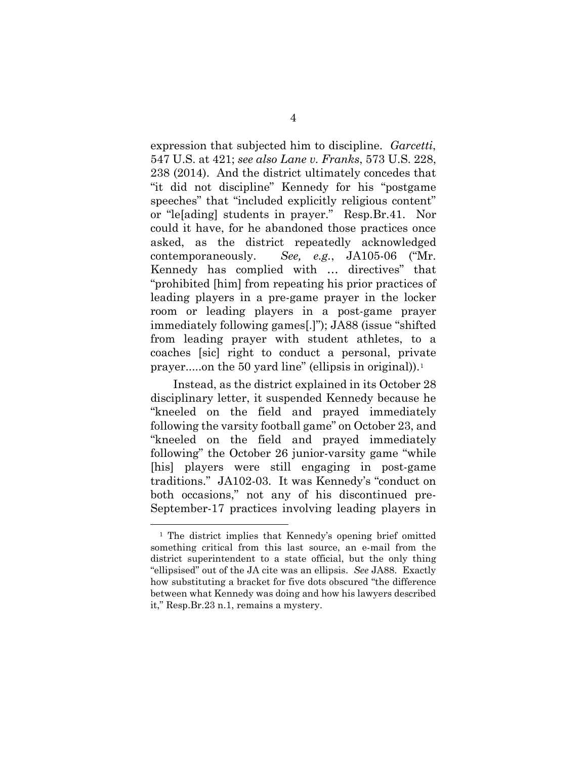expression that subjected him to discipline. *Garcetti*, 547 U.S. at 421; *see also Lane v. Franks*, 573 U.S. 228, 238 (2014). And the district ultimately concedes that "it did not discipline" Kennedy for his "postgame speeches" that "included explicitly religious content" or "le[ading] students in prayer." Resp.Br.41. Nor could it have, for he abandoned those practices once asked, as the district repeatedly acknowledged contemporaneously. *See, e.g.*, JA105-06 ("Mr. Kennedy has complied with … directives" that "prohibited [him] from repeating his prior practices of leading players in a pre-game prayer in the locker room or leading players in a post-game prayer immediately following games[.]"); JA88 (issue "shifted from leading prayer with student athletes, to a coaches [sic] right to conduct a personal, private prayer.....on the 50 yard line" (ellipsis in original)).[1](#page-8-0)

Instead, as the district explained in its October 28 disciplinary letter, it suspended Kennedy because he "kneeled on the field and prayed immediately following the varsity football game" on October 23, and "kneeled on the field and prayed immediately following" the October 26 junior-varsity game "while [his] players were still engaging in post-game traditions." JA102-03. It was Kennedy's "conduct on both occasions," not any of his discontinued pre-September-17 practices involving leading players in

<span id="page-8-0"></span> <sup>1</sup> The district implies that Kennedy's opening brief omitted something critical from this last source, an e-mail from the district superintendent to a state official, but the only thing "ellipsised" out of the JA cite was an ellipsis. *See* JA88. Exactly how substituting a bracket for five dots obscured "the difference between what Kennedy was doing and how his lawyers described it," Resp.Br.23 n.1, remains a mystery.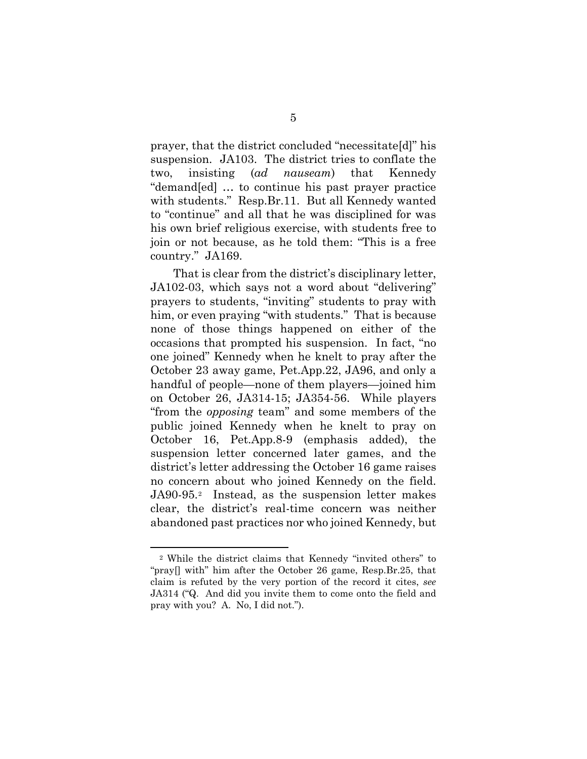prayer, that the district concluded "necessitate[d]" his suspension. JA103. The district tries to conflate the two, insisting (*ad nauseam*) that Kennedy "demand[ed] … to continue his past prayer practice with students." Resp.Br.11. But all Kennedy wanted to "continue" and all that he was disciplined for was his own brief religious exercise, with students free to join or not because, as he told them: "This is a free country." JA169.

That is clear from the district's disciplinary letter, JA102-03, which says not a word about "delivering" prayers to students, "inviting" students to pray with him, or even praying "with students." That is because none of those things happened on either of the occasions that prompted his suspension. In fact, "no one joined" Kennedy when he knelt to pray after the October 23 away game, Pet.App.22, JA96, and only a handful of people—none of them players—joined him on October 26, JA314-15; JA354-56. While players "from the *opposing* team" and some members of the public joined Kennedy when he knelt to pray on October 16, Pet.App.8-9 (emphasis added), the suspension letter concerned later games, and the district's letter addressing the October 16 game raises no concern about who joined Kennedy on the field. JA90-95.[2](#page-9-0) Instead, as the suspension letter makes clear, the district's real-time concern was neither abandoned past practices nor who joined Kennedy, but

<span id="page-9-0"></span> <sup>2</sup> While the district claims that Kennedy "invited others" to "pray[] with" him after the October 26 game, Resp.Br.25, that claim is refuted by the very portion of the record it cites, *see* JA314 ("Q. And did you invite them to come onto the field and pray with you? A. No, I did not.").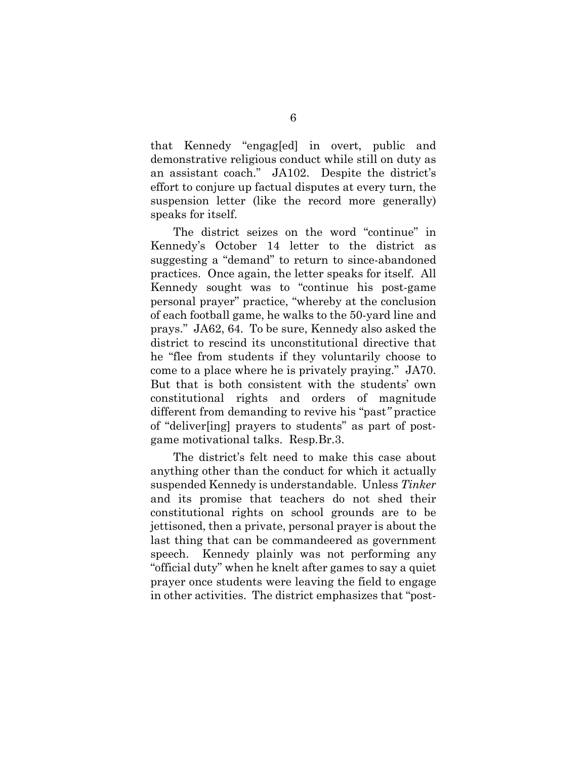that Kennedy "engag[ed] in overt, public and demonstrative religious conduct while still on duty as an assistant coach." JA102. Despite the district's effort to conjure up factual disputes at every turn, the suspension letter (like the record more generally) speaks for itself.

The district seizes on the word "continue" in Kennedy's October 14 letter to the district as suggesting a "demand" to return to since-abandoned practices. Once again, the letter speaks for itself. All Kennedy sought was to "continue his post-game personal prayer" practice, "whereby at the conclusion of each football game, he walks to the 50-yard line and prays." JA62, 64. To be sure, Kennedy also asked the district to rescind its unconstitutional directive that he "flee from students if they voluntarily choose to come to a place where he is privately praying." JA70. But that is both consistent with the students' own constitutional rights and orders of magnitude different from demanding to revive his "past*"* practice of "deliver[ing] prayers to students" as part of postgame motivational talks. Resp.Br.3.

The district's felt need to make this case about anything other than the conduct for which it actually suspended Kennedy is understandable. Unless *Tinker*  and its promise that teachers do not shed their constitutional rights on school grounds are to be jettisoned, then a private, personal prayer is about the last thing that can be commandeered as government speech. Kennedy plainly was not performing any "official duty" when he knelt after games to say a quiet prayer once students were leaving the field to engage in other activities. The district emphasizes that "post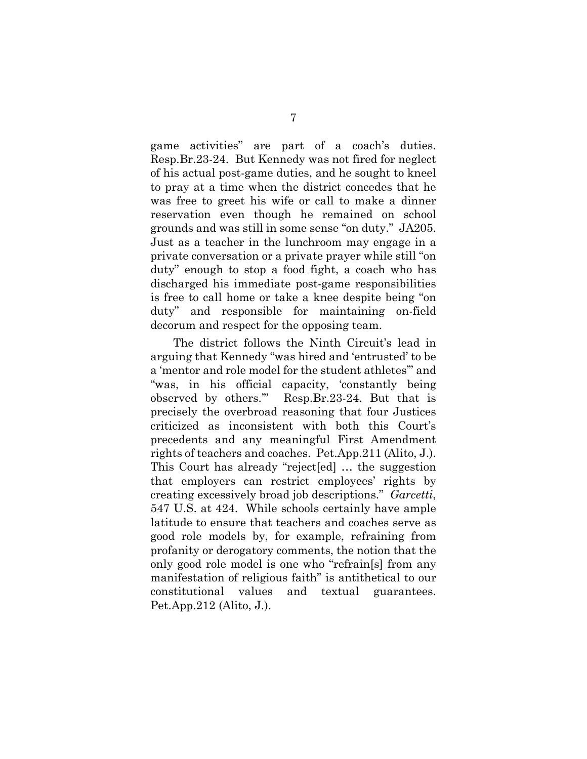game activities" are part of a coach's duties. Resp.Br.23-24. But Kennedy was not fired for neglect of his actual post-game duties, and he sought to kneel to pray at a time when the district concedes that he was free to greet his wife or call to make a dinner reservation even though he remained on school grounds and was still in some sense "on duty." JA205. Just as a teacher in the lunchroom may engage in a private conversation or a private prayer while still "on duty" enough to stop a food fight, a coach who has discharged his immediate post-game responsibilities is free to call home or take a knee despite being "on duty" and responsible for maintaining on-field decorum and respect for the opposing team.

The district follows the Ninth Circuit's lead in arguing that Kennedy "was hired and 'entrusted' to be a 'mentor and role model for the student athletes'" and "was, in his official capacity, 'constantly being observed by others.'" Resp.Br.23-24. But that is precisely the overbroad reasoning that four Justices criticized as inconsistent with both this Court's precedents and any meaningful First Amendment rights of teachers and coaches. Pet.App.211 (Alito, J.). This Court has already "reject[ed] … the suggestion that employers can restrict employees' rights by creating excessively broad job descriptions." *Garcetti*, 547 U.S. at 424. While schools certainly have ample latitude to ensure that teachers and coaches serve as good role models by, for example, refraining from profanity or derogatory comments, the notion that the only good role model is one who "refrain[s] from any manifestation of religious faith" is antithetical to our constitutional values and textual guarantees. Pet.App.212 (Alito, J.).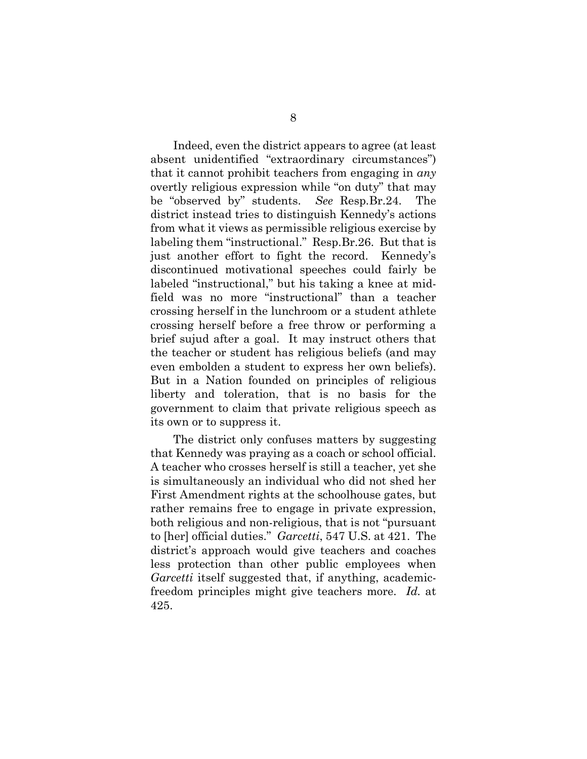Indeed, even the district appears to agree (at least absent unidentified "extraordinary circumstances") that it cannot prohibit teachers from engaging in *any* overtly religious expression while "on duty" that may be "observed by" students. *See* Resp.Br.24. The district instead tries to distinguish Kennedy's actions from what it views as permissible religious exercise by labeling them "instructional." Resp.Br.26. But that is just another effort to fight the record. Kennedy's discontinued motivational speeches could fairly be labeled "instructional," but his taking a knee at midfield was no more "instructional" than a teacher crossing herself in the lunchroom or a student athlete crossing herself before a free throw or performing a brief sujud after a goal. It may instruct others that the teacher or student has religious beliefs (and may even embolden a student to express her own beliefs). But in a Nation founded on principles of religious liberty and toleration, that is no basis for the government to claim that private religious speech as its own or to suppress it.

The district only confuses matters by suggesting that Kennedy was praying as a coach or school official. A teacher who crosses herself is still a teacher, yet she is simultaneously an individual who did not shed her First Amendment rights at the schoolhouse gates, but rather remains free to engage in private expression, both religious and non-religious, that is not "pursuant to [her] official duties." *Garcetti*, 547 U.S. at 421. The district's approach would give teachers and coaches less protection than other public employees when *Garcetti* itself suggested that, if anything, academicfreedom principles might give teachers more. *Id.* at 425.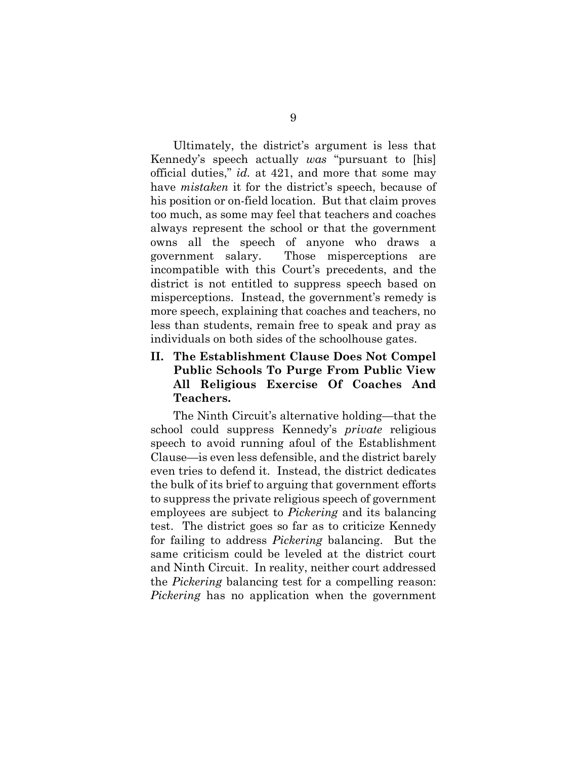Ultimately, the district's argument is less that Kennedy's speech actually *was* "pursuant to [his] official duties," *id.* at 421, and more that some may have *mistaken* it for the district's speech, because of his position or on-field location. But that claim proves too much, as some may feel that teachers and coaches always represent the school or that the government owns all the speech of anyone who draws a government salary. Those misperceptions are incompatible with this Court's precedents, and the district is not entitled to suppress speech based on misperceptions. Instead, the government's remedy is more speech, explaining that coaches and teachers, no less than students, remain free to speak and pray as individuals on both sides of the schoolhouse gates.

# **II. The Establishment Clause Does Not Compel Public Schools To Purge From Public View All Religious Exercise Of Coaches And Teachers.**

The Ninth Circuit's alternative holding—that the school could suppress Kennedy's *private* religious speech to avoid running afoul of the Establishment Clause—is even less defensible, and the district barely even tries to defend it. Instead, the district dedicates the bulk of its brief to arguing that government efforts to suppress the private religious speech of government employees are subject to *Pickering* and its balancing test. The district goes so far as to criticize Kennedy for failing to address *Pickering* balancing. But the same criticism could be leveled at the district court and Ninth Circuit. In reality, neither court addressed the *Pickering* balancing test for a compelling reason: *Pickering* has no application when the government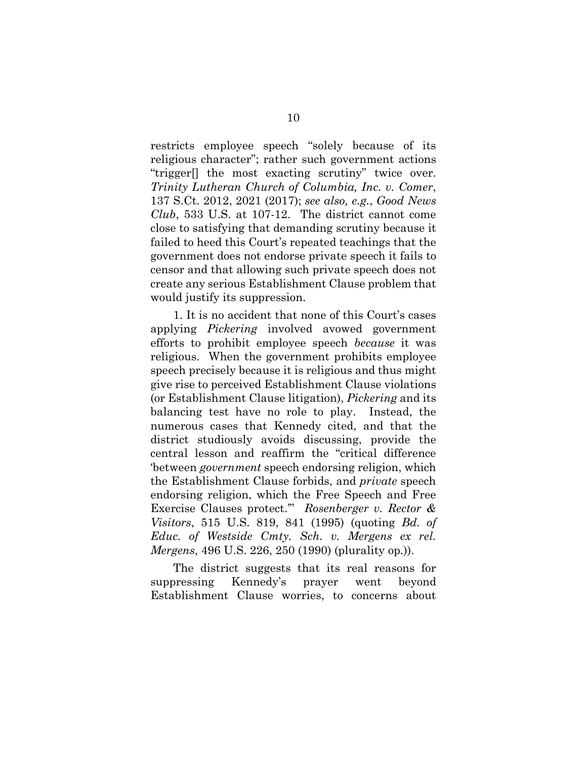restricts employee speech "solely because of its religious character"; rather such government actions "trigger[] the most exacting scrutiny" twice over. *Trinity Lutheran Church of Columbia, Inc. v. Comer*, 137 S.Ct. 2012, 2021 (2017); *see also, e.g.*, *Good News Club*, 533 U.S. at 107-12. The district cannot come close to satisfying that demanding scrutiny because it failed to heed this Court's repeated teachings that the government does not endorse private speech it fails to censor and that allowing such private speech does not create any serious Establishment Clause problem that would justify its suppression.

1. It is no accident that none of this Court's cases applying *Pickering* involved avowed government efforts to prohibit employee speech *because* it was religious. When the government prohibits employee speech precisely because it is religious and thus might give rise to perceived Establishment Clause violations (or Establishment Clause litigation), *Pickering* and its balancing test have no role to play. Instead, the numerous cases that Kennedy cited, and that the district studiously avoids discussing, provide the central lesson and reaffirm the "critical difference 'between *government* speech endorsing religion, which the Establishment Clause forbids, and *private* speech endorsing religion, which the Free Speech and Free Exercise Clauses protect.'" *Rosenberger v. Rector & Visitors*, 515 U.S. 819, 841 (1995) (quoting *Bd. of Educ. of Westside Cmty. Sch. v. Mergens ex rel. Mergens*, 496 U.S. 226, 250 (1990) (plurality op.)).

The district suggests that its real reasons for suppressing Kennedy's prayer went beyond Establishment Clause worries, to concerns about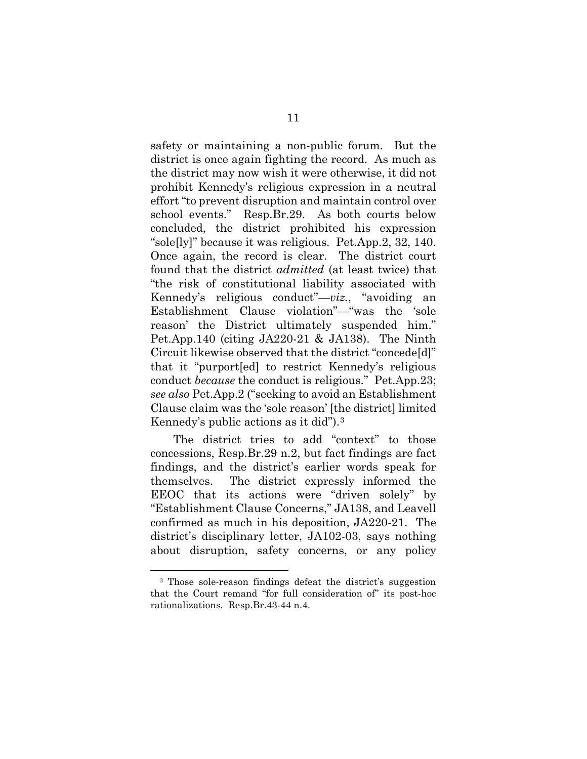safety or maintaining a non-public forum. But the district is once again fighting the record. As much as the district may now wish it were otherwise, it did not prohibit Kennedy's religious expression in a neutral effort "to prevent disruption and maintain control over school events." Resp.Br.29. As both courts below concluded, the district prohibited his expression "sole[ly]" because it was religious. Pet.App.2, 32, 140. Once again, the record is clear. The district court found that the district *admitted* (at least twice) that "the risk of constitutional liability associated with Kennedy's religious conduct"—*viz.*, "avoiding an Establishment Clause violation"—"was the 'sole reason' the District ultimately suspended him." Pet.App.140 (citing JA220-21 & JA138). The Ninth Circuit likewise observed that the district "concede[d]" that it "purport[ed] to restrict Kennedy's religious conduct *because* the conduct is religious." Pet.App.23; *see also* Pet.App.2 ("seeking to avoid an Establishment Clause claim was the 'sole reason' [the district] limited Kennedy's public actions as it did").[3](#page-15-0)

The district tries to add "context" to those concessions, Resp.Br.29 n.2, but fact findings are fact findings, and the district's earlier words speak for themselves. The district expressly informed the EEOC that its actions were "driven solely" by "Establishment Clause Concerns," JA138, and Leavell confirmed as much in his deposition, JA220-21. The district's disciplinary letter, JA102-03, says nothing about disruption, safety concerns, or any policy

<span id="page-15-0"></span> <sup>3</sup> Those sole-reason findings defeat the district's suggestion that the Court remand "for full consideration of" its post-hoc rationalizations. Resp.Br.43-44 n.4.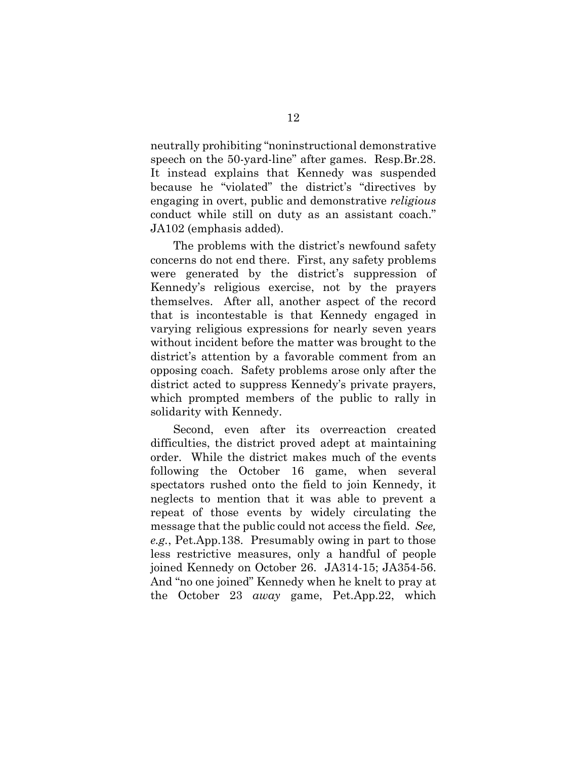neutrally prohibiting "noninstructional demonstrative speech on the 50-yard-line" after games. Resp.Br.28. It instead explains that Kennedy was suspended because he "violated" the district's "directives by engaging in overt, public and demonstrative *religious* conduct while still on duty as an assistant coach." JA102 (emphasis added).

The problems with the district's newfound safety concerns do not end there. First, any safety problems were generated by the district's suppression of Kennedy's religious exercise, not by the prayers themselves. After all, another aspect of the record that is incontestable is that Kennedy engaged in varying religious expressions for nearly seven years without incident before the matter was brought to the district's attention by a favorable comment from an opposing coach. Safety problems arose only after the district acted to suppress Kennedy's private prayers, which prompted members of the public to rally in solidarity with Kennedy.

Second, even after its overreaction created difficulties, the district proved adept at maintaining order. While the district makes much of the events following the October 16 game, when several spectators rushed onto the field to join Kennedy, it neglects to mention that it was able to prevent a repeat of those events by widely circulating the message that the public could not access the field. *See, e.g.*, Pet.App.138. Presumably owing in part to those less restrictive measures, only a handful of people joined Kennedy on October 26. JA314-15; JA354-56. And "no one joined" Kennedy when he knelt to pray at the October 23 *away* game, Pet.App.22, which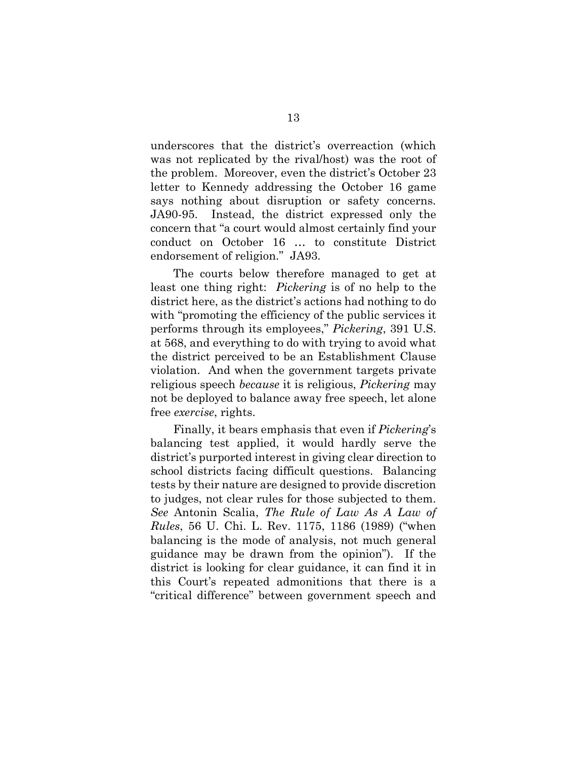underscores that the district's overreaction (which was not replicated by the rival/host) was the root of the problem. Moreover, even the district's October 23 letter to Kennedy addressing the October 16 game says nothing about disruption or safety concerns. JA90-95. Instead, the district expressed only the concern that "a court would almost certainly find your conduct on October 16 … to constitute District endorsement of religion." JA93.

The courts below therefore managed to get at least one thing right: *Pickering* is of no help to the district here, as the district's actions had nothing to do with "promoting the efficiency of the public services it performs through its employees," *Pickering*, 391 U.S. at 568, and everything to do with trying to avoid what the district perceived to be an Establishment Clause violation. And when the government targets private religious speech *because* it is religious, *Pickering* may not be deployed to balance away free speech, let alone free *exercise*, rights.

Finally, it bears emphasis that even if *Pickering*'s balancing test applied, it would hardly serve the district's purported interest in giving clear direction to school districts facing difficult questions. Balancing tests by their nature are designed to provide discretion to judges, not clear rules for those subjected to them. *See* Antonin Scalia, *The Rule of Law As A Law of Rules*, 56 U. Chi. L. Rev. 1175, 1186 (1989) ("when balancing is the mode of analysis, not much general guidance may be drawn from the opinion"). If the district is looking for clear guidance, it can find it in this Court's repeated admonitions that there is a "critical difference" between government speech and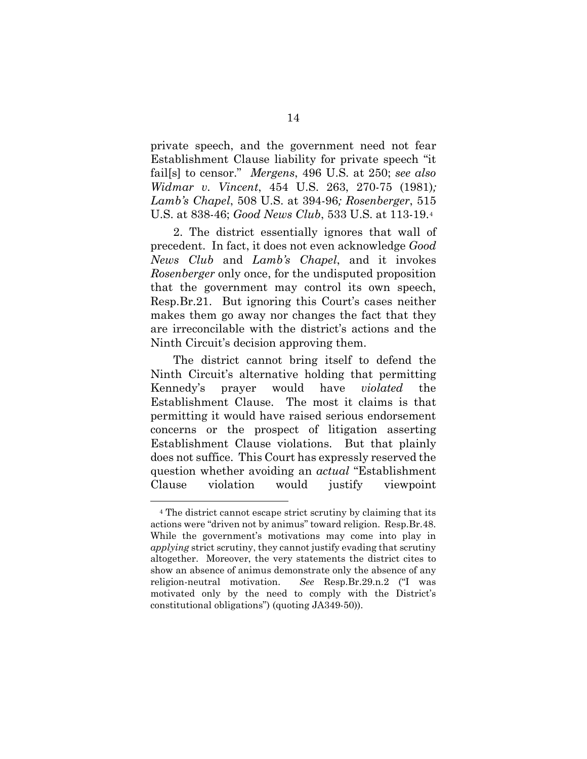private speech, and the government need not fear Establishment Clause liability for private speech "it fail[s] to censor." *Mergens*, 496 U.S. at 250; *see also Widmar v. Vincent*, 454 U.S. 263, 270-75 (1981)*; Lamb's Chapel*, 508 U.S. at 394-96*; Rosenberger*, 515 U.S. at 838-46; *Good News Club*, 533 U.S. at 113-19.[4](#page-18-0)

2. The district essentially ignores that wall of precedent. In fact, it does not even acknowledge *Good News Club* and *Lamb's Chapel*, and it invokes *Rosenberger* only once, for the undisputed proposition that the government may control its own speech, Resp.Br.21. But ignoring this Court's cases neither makes them go away nor changes the fact that they are irreconcilable with the district's actions and the Ninth Circuit's decision approving them.

The district cannot bring itself to defend the Ninth Circuit's alternative holding that permitting Kennedy's prayer would have *violated* the Establishment Clause. The most it claims is that permitting it would have raised serious endorsement concerns or the prospect of litigation asserting Establishment Clause violations. But that plainly does not suffice. This Court has expressly reserved the question whether avoiding an *actual* "Establishment Clause violation would justify viewpoint

<span id="page-18-0"></span> <sup>4</sup> The district cannot escape strict scrutiny by claiming that its actions were "driven not by animus" toward religion. Resp.Br.48. While the government's motivations may come into play in *applying* strict scrutiny, they cannot justify evading that scrutiny altogether. Moreover, the very statements the district cites to show an absence of animus demonstrate only the absence of any religion-neutral motivation. *See* Resp.Br.29.n.2 ("I was motivated only by the need to comply with the District's constitutional obligations") (quoting JA349-50)).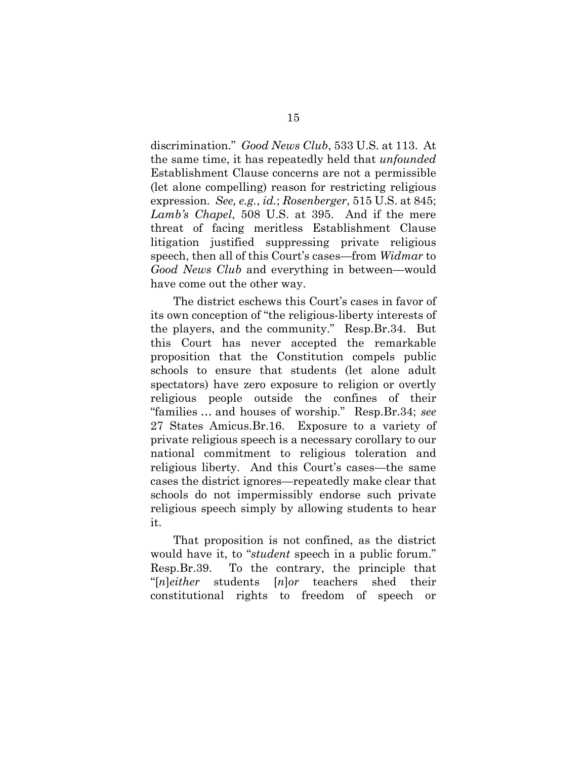discrimination." *Good News Club*, 533 U.S. at 113. At the same time, it has repeatedly held that *unfounded* Establishment Clause concerns are not a permissible (let alone compelling) reason for restricting religious expression. *See, e.g.*, *id.*; *Rosenberger*, 515 U.S. at 845; *Lamb's Chapel*, 508 U.S. at 395. And if the mere threat of facing meritless Establishment Clause litigation justified suppressing private religious speech, then all of this Court's cases—from *Widmar* to *Good News Club* and everything in between—would have come out the other way.

The district eschews this Court's cases in favor of its own conception of "the religious-liberty interests of the players, and the community." Resp.Br.34. But this Court has never accepted the remarkable proposition that the Constitution compels public schools to ensure that students (let alone adult spectators) have zero exposure to religion or overtly religious people outside the confines of their "families … and houses of worship." Resp.Br.34; *see*  27 States Amicus.Br.16. Exposure to a variety of private religious speech is a necessary corollary to our national commitment to religious toleration and religious liberty. And this Court's cases—the same cases the district ignores—repeatedly make clear that schools do not impermissibly endorse such private religious speech simply by allowing students to hear it.

That proposition is not confined, as the district would have it, to "*student* speech in a public forum." Resp.Br.39. To the contrary, the principle that "[*n*]*either* students [*n*]*or* teachers shed their constitutional rights to freedom of speech or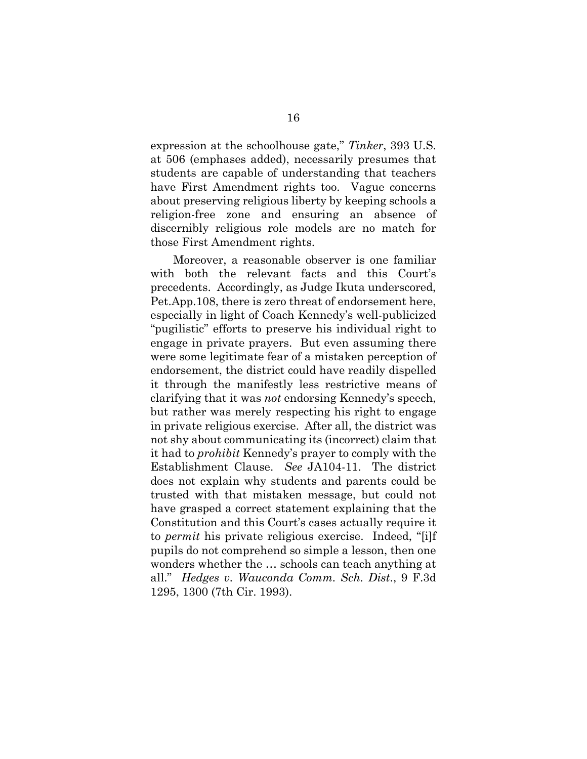expression at the schoolhouse gate," *Tinker*, 393 U.S. at 506 (emphases added), necessarily presumes that students are capable of understanding that teachers have First Amendment rights too. Vague concerns about preserving religious liberty by keeping schools a religion-free zone and ensuring an absence of discernibly religious role models are no match for those First Amendment rights.

Moreover, a reasonable observer is one familiar with both the relevant facts and this Court's precedents. Accordingly, as Judge Ikuta underscored, Pet.App.108, there is zero threat of endorsement here, especially in light of Coach Kennedy's well-publicized "pugilistic" efforts to preserve his individual right to engage in private prayers. But even assuming there were some legitimate fear of a mistaken perception of endorsement, the district could have readily dispelled it through the manifestly less restrictive means of clarifying that it was *not* endorsing Kennedy's speech, but rather was merely respecting his right to engage in private religious exercise. After all, the district was not shy about communicating its (incorrect) claim that it had to *prohibit* Kennedy's prayer to comply with the Establishment Clause. *See* JA104-11. The district does not explain why students and parents could be trusted with that mistaken message, but could not have grasped a correct statement explaining that the Constitution and this Court's cases actually require it to *permit* his private religious exercise. Indeed, "[i]f pupils do not comprehend so simple a lesson, then one wonders whether the … schools can teach anything at all." *Hedges v. Wauconda Comm. Sch. Dist*., 9 F.3d 1295, 1300 (7th Cir. 1993).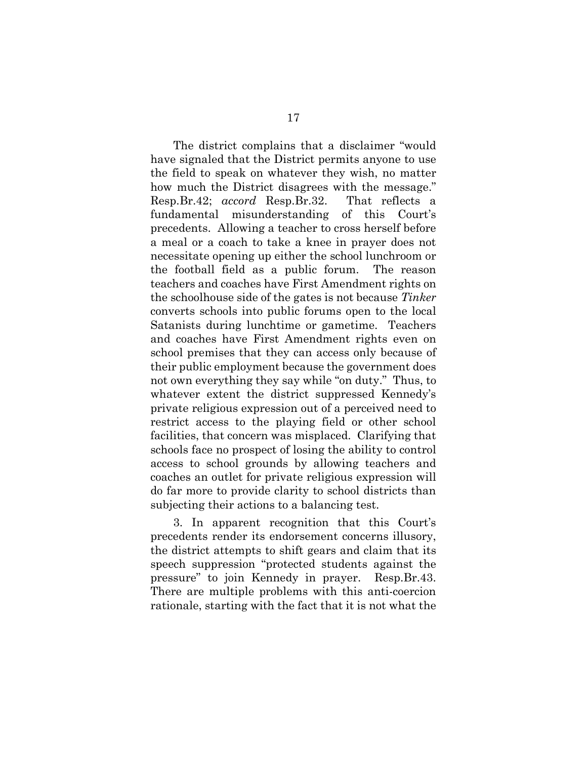The district complains that a disclaimer "would have signaled that the District permits anyone to use the field to speak on whatever they wish, no matter how much the District disagrees with the message." Resp.Br.42; *accord* Resp.Br.32. That reflects a fundamental misunderstanding of this Court's precedents. Allowing a teacher to cross herself before a meal or a coach to take a knee in prayer does not necessitate opening up either the school lunchroom or the football field as a public forum. The reason teachers and coaches have First Amendment rights on the schoolhouse side of the gates is not because *Tinker*  converts schools into public forums open to the local Satanists during lunchtime or gametime. Teachers and coaches have First Amendment rights even on school premises that they can access only because of their public employment because the government does not own everything they say while "on duty." Thus, to whatever extent the district suppressed Kennedy's private religious expression out of a perceived need to restrict access to the playing field or other school facilities, that concern was misplaced. Clarifying that schools face no prospect of losing the ability to control access to school grounds by allowing teachers and coaches an outlet for private religious expression will do far more to provide clarity to school districts than subjecting their actions to a balancing test.

3. In apparent recognition that this Court's precedents render its endorsement concerns illusory, the district attempts to shift gears and claim that its speech suppression "protected students against the pressure" to join Kennedy in prayer. Resp.Br.43. There are multiple problems with this anti-coercion rationale, starting with the fact that it is not what the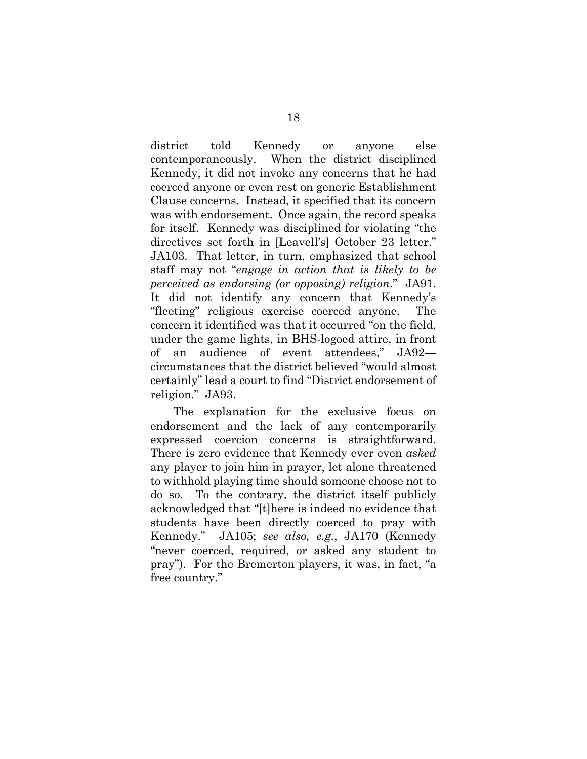district told Kennedy or anyone else contemporaneously. When the district disciplined Kennedy, it did not invoke any concerns that he had coerced anyone or even rest on generic Establishment Clause concerns. Instead, it specified that its concern was with endorsement. Once again, the record speaks for itself. Kennedy was disciplined for violating "the directives set forth in [Leavell's] October 23 letter." JA103. That letter, in turn, emphasized that school staff may not "*engage in action that is likely to be perceived as endorsing (or opposing) religion*." JA91. It did not identify any concern that Kennedy's "fleeting" religious exercise coerced anyone. The concern it identified was that it occurred "on the field, under the game lights, in BHS-logoed attire, in front of an audience of event attendees," JA92 circumstances that the district believed "would almost certainly" lead a court to find "District endorsement of religion." JA93.

The explanation for the exclusive focus on endorsement and the lack of any contemporarily expressed coercion concerns is straightforward. There is zero evidence that Kennedy ever even *asked* any player to join him in prayer, let alone threatened to withhold playing time should someone choose not to do so. To the contrary, the district itself publicly acknowledged that "[t]here is indeed no evidence that students have been directly coerced to pray with Kennedy." JA105; *see also, e.g.*, JA170 (Kennedy "never coerced, required, or asked any student to pray"). For the Bremerton players, it was, in fact, "a free country."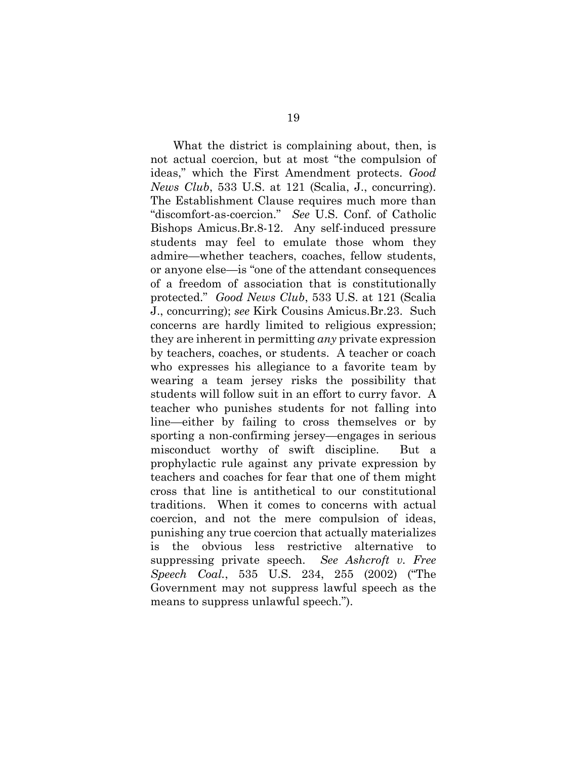What the district is complaining about, then, is not actual coercion, but at most "the compulsion of ideas," which the First Amendment protects. *Good News Club*, 533 U.S. at 121 (Scalia, J., concurring). The Establishment Clause requires much more than "discomfort-as-coercion." *See* U.S. Conf. of Catholic Bishops Amicus.Br.8-12. Any self-induced pressure students may feel to emulate those whom they admire—whether teachers, coaches, fellow students, or anyone else—is "one of the attendant consequences of a freedom of association that is constitutionally protected." *Good News Club*, 533 U.S. at 121 (Scalia J., concurring); *see* Kirk Cousins Amicus.Br.23. Such concerns are hardly limited to religious expression; they are inherent in permitting *any* private expression by teachers, coaches, or students. A teacher or coach who expresses his allegiance to a favorite team by wearing a team jersey risks the possibility that students will follow suit in an effort to curry favor. A teacher who punishes students for not falling into line—either by failing to cross themselves or by sporting a non-confirming jersey—engages in serious misconduct worthy of swift discipline. But a prophylactic rule against any private expression by teachers and coaches for fear that one of them might cross that line is antithetical to our constitutional traditions. When it comes to concerns with actual coercion, and not the mere compulsion of ideas, punishing any true coercion that actually materializes is the obvious less restrictive alternative to suppressing private speech. *See Ashcroft v. Free Speech Coal.*, 535 U.S. 234, 255 (2002) ("The Government may not suppress lawful speech as the means to suppress unlawful speech.").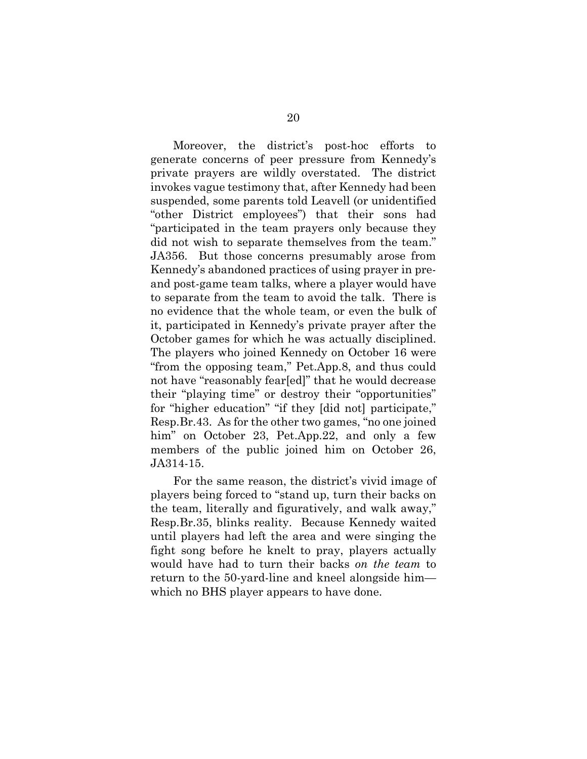Moreover, the district's post-hoc efforts to generate concerns of peer pressure from Kennedy's private prayers are wildly overstated. The district invokes vague testimony that, after Kennedy had been suspended, some parents told Leavell (or unidentified "other District employees") that their sons had "participated in the team prayers only because they did not wish to separate themselves from the team." JA356. But those concerns presumably arose from Kennedy's abandoned practices of using prayer in preand post-game team talks, where a player would have to separate from the team to avoid the talk. There is no evidence that the whole team, or even the bulk of it, participated in Kennedy's private prayer after the October games for which he was actually disciplined. The players who joined Kennedy on October 16 were "from the opposing team," Pet.App.8, and thus could not have "reasonably fear[ed]" that he would decrease their "playing time" or destroy their "opportunities" for "higher education" "if they [did not] participate," Resp.Br.43. As for the other two games, "no one joined him" on October 23, Pet.App.22, and only a few members of the public joined him on October 26, JA314-15.

For the same reason, the district's vivid image of players being forced to "stand up, turn their backs on the team, literally and figuratively, and walk away," Resp.Br.35, blinks reality. Because Kennedy waited until players had left the area and were singing the fight song before he knelt to pray, players actually would have had to turn their backs *on the team* to return to the 50-yard-line and kneel alongside him which no BHS player appears to have done.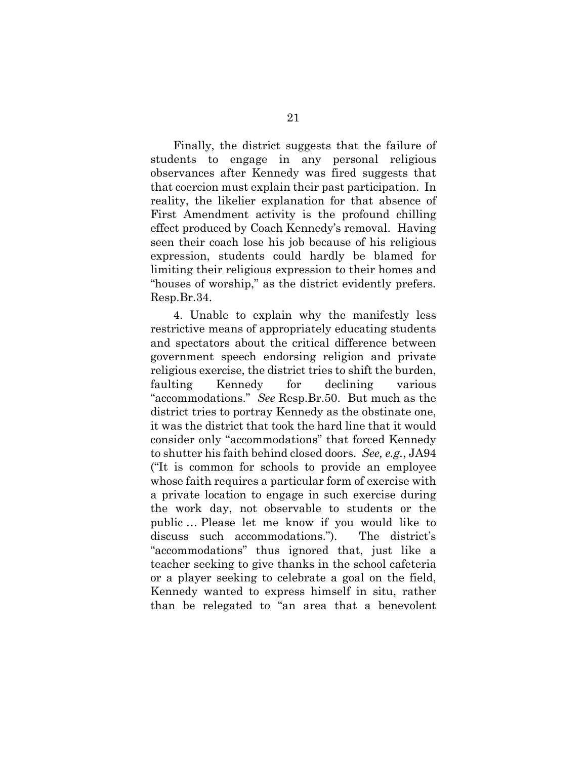Finally, the district suggests that the failure of students to engage in any personal religious observances after Kennedy was fired suggests that that coercion must explain their past participation. In reality, the likelier explanation for that absence of First Amendment activity is the profound chilling effect produced by Coach Kennedy's removal. Having seen their coach lose his job because of his religious expression, students could hardly be blamed for limiting their religious expression to their homes and "houses of worship," as the district evidently prefers. Resp.Br.34.

4. Unable to explain why the manifestly less restrictive means of appropriately educating students and spectators about the critical difference between government speech endorsing religion and private religious exercise, the district tries to shift the burden, faulting Kennedy for declining various "accommodations." *See* Resp.Br.50. But much as the district tries to portray Kennedy as the obstinate one, it was the district that took the hard line that it would consider only "accommodations" that forced Kennedy to shutter his faith behind closed doors. *See, e.g.*, JA94 ("It is common for schools to provide an employee whose faith requires a particular form of exercise with a private location to engage in such exercise during the work day, not observable to students or the public … Please let me know if you would like to discuss such accommodations."). The district's "accommodations" thus ignored that, just like a teacher seeking to give thanks in the school cafeteria or a player seeking to celebrate a goal on the field, Kennedy wanted to express himself in situ, rather than be relegated to "an area that a benevolent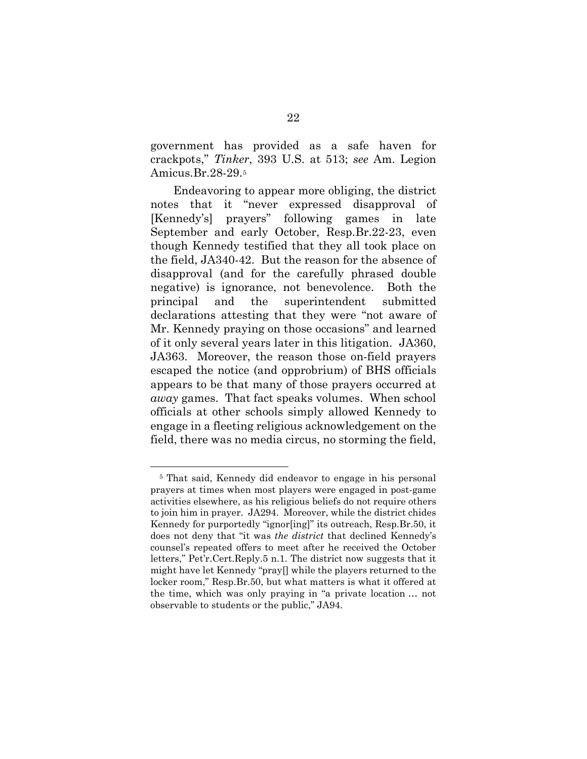government has provided as a safe haven for crackpots," *Tinker*, 393 U.S. at 513; *see* Am. Legion Amicus.Br.28-29[.5](#page-26-0)

Endeavoring to appear more obliging, the district notes that it "never expressed disapproval of [Kennedy's] prayers" following games in late September and early October, Resp.Br.22-23, even though Kennedy testified that they all took place on the field, JA340-42. But the reason for the absence of disapproval (and for the carefully phrased double negative) is ignorance, not benevolence. Both the principal and the superintendent submitted declarations attesting that they were "not aware of Mr. Kennedy praying on those occasions" and learned of it only several years later in this litigation. JA360, JA363. Moreover, the reason those on-field prayers escaped the notice (and opprobrium) of BHS officials appears to be that many of those prayers occurred at *away* games. That fact speaks volumes. When school officials at other schools simply allowed Kennedy to engage in a fleeting religious acknowledgement on the field, there was no media circus, no storming the field,

<span id="page-26-0"></span> <sup>5</sup> That said, Kennedy did endeavor to engage in his personal prayers at times when most players were engaged in post-game activities elsewhere, as his religious beliefs do not require others to join him in prayer. JA294. Moreover, while the district chides Kennedy for purportedly "ignor[ing]" its outreach, Resp.Br.50, it does not deny that "it was *the district* that declined Kennedy's counsel's repeated offers to meet after he received the October letters," Pet'r.Cert.Reply.5 n.1. The district now suggests that it might have let Kennedy "pray[] while the players returned to the locker room," Resp.Br.50, but what matters is what it offered at the time, which was only praying in "a private location … not observable to students or the public," JA94.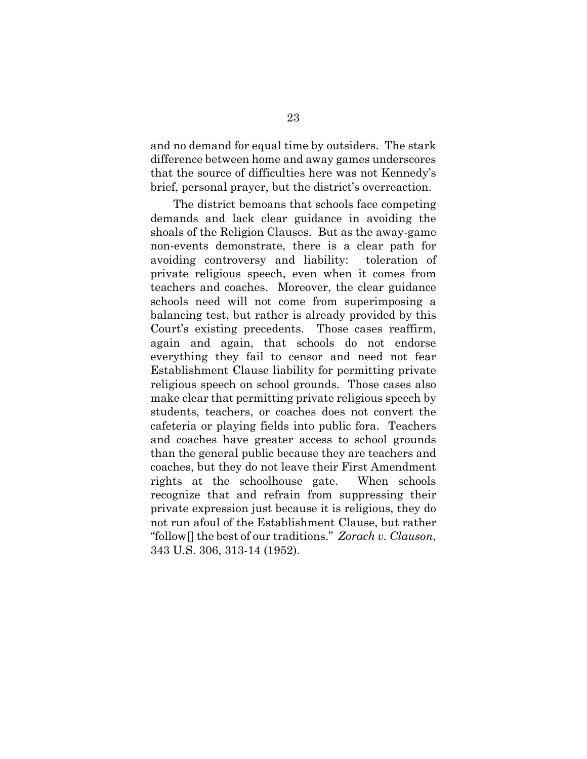and no demand for equal time by outsiders. The stark difference between home and away games underscores that the source of difficulties here was not Kennedy's brief, personal prayer, but the district's overreaction.

The district bemoans that schools face competing demands and lack clear guidance in avoiding the shoals of the Religion Clauses. But as the away-game non-events demonstrate, there is a clear path for avoiding controversy and liability: toleration of private religious speech, even when it comes from teachers and coaches. Moreover, the clear guidance schools need will not come from superimposing a balancing test, but rather is already provided by this Court's existing precedents. Those cases reaffirm, again and again, that schools do not endorse everything they fail to censor and need not fear Establishment Clause liability for permitting private religious speech on school grounds. Those cases also make clear that permitting private religious speech by students, teachers, or coaches does not convert the cafeteria or playing fields into public fora. Teachers and coaches have greater access to school grounds than the general public because they are teachers and coaches, but they do not leave their First Amendment rights at the schoolhouse gate. When schools recognize that and refrain from suppressing their private expression just because it is religious, they do not run afoul of the Establishment Clause, but rather "follow[] the best of our traditions." *Zorach v. Clauson*, 343 U.S. 306, 313-14 (1952).